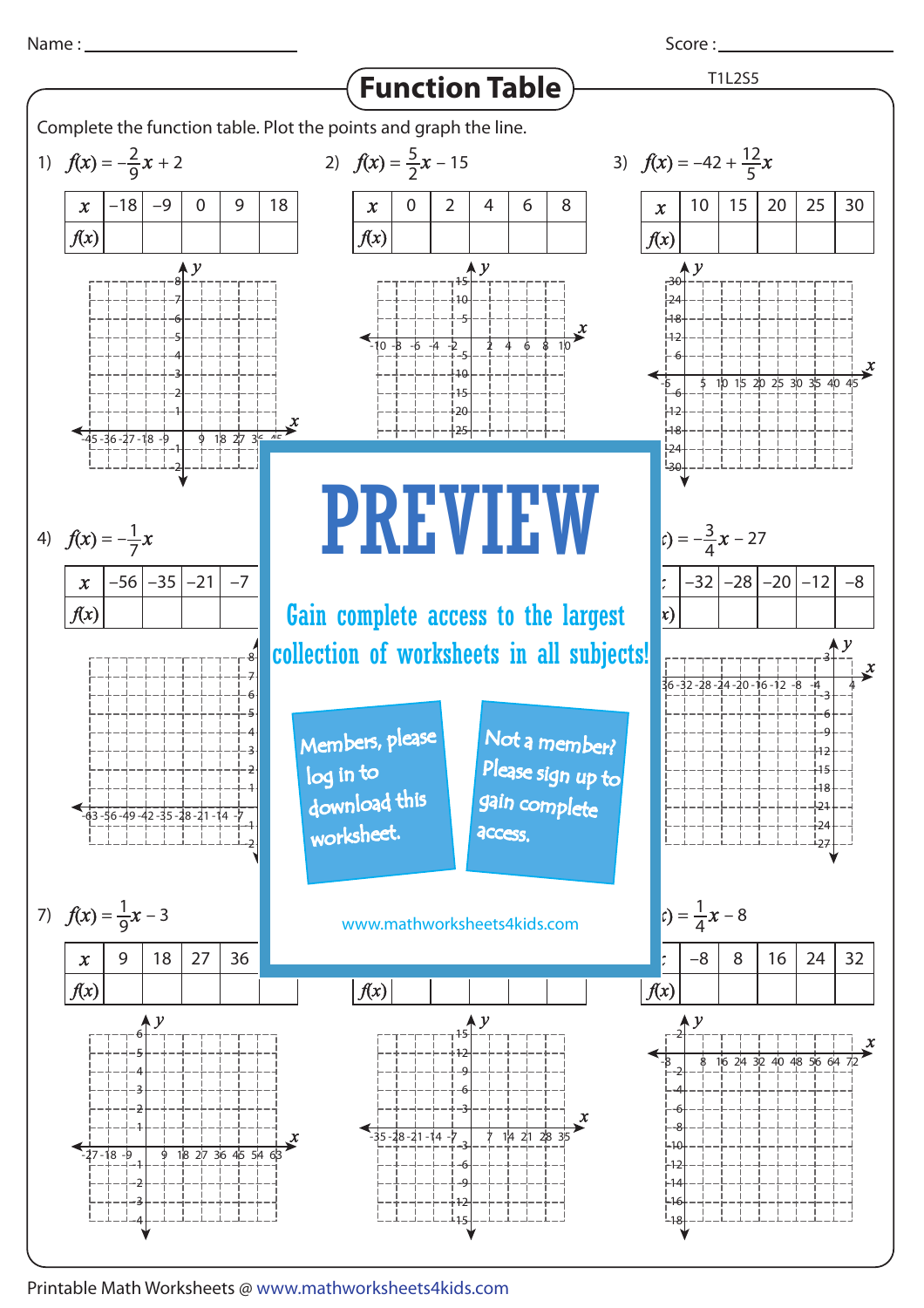

Score :